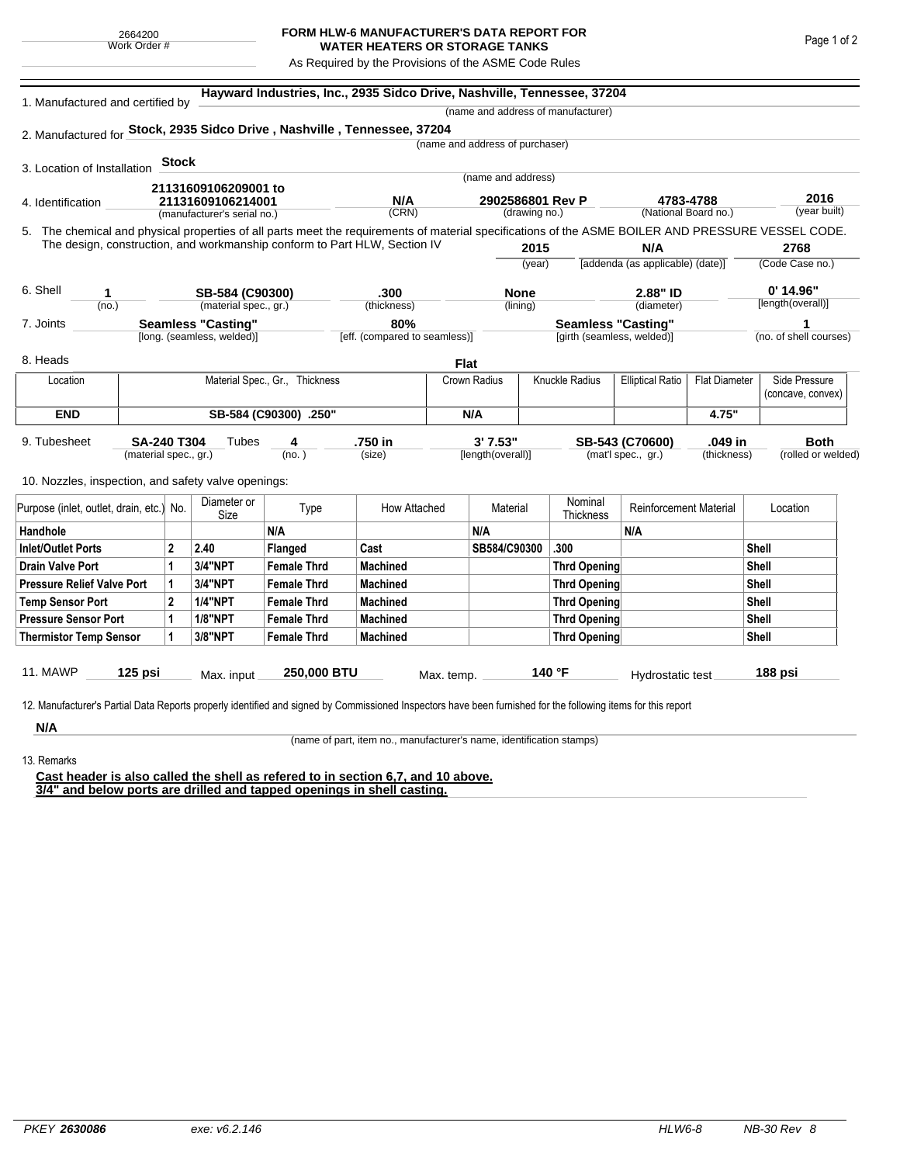## **FORM HLW-6 MANUFACTURER'S DATA REPORT FOR WATER HEATERS OR STORAGE TANKS**

As Required by the Provisions of the ASME Code Rules

| 1. Manufactured and certified by                                          |                       |              |                                    | Hayward Industries, Inc., 2935 Sidco Drive, Nashville, Tennessee, 37204                                                                            |                               |                           |                                 |        |                            |                                  |                      |                   |                        |  |  |
|---------------------------------------------------------------------------|-----------------------|--------------|------------------------------------|----------------------------------------------------------------------------------------------------------------------------------------------------|-------------------------------|---------------------------|---------------------------------|--------|----------------------------|----------------------------------|----------------------|-------------------|------------------------|--|--|
|                                                                           |                       |              | (name and address of manufacturer) |                                                                                                                                                    |                               |                           |                                 |        |                            |                                  |                      |                   |                        |  |  |
|                                                                           |                       |              |                                    | 2. Manufactured for Stock, 2935 Sidco Drive, Nashville, Tennessee, 37204                                                                           |                               |                           |                                 |        |                            |                                  |                      |                   |                        |  |  |
|                                                                           |                       |              |                                    |                                                                                                                                                    |                               |                           | (name and address of purchaser) |        |                            |                                  |                      |                   |                        |  |  |
| 3. Location of Installation                                               |                       | <b>Stock</b> |                                    |                                                                                                                                                    |                               |                           |                                 |        |                            |                                  |                      |                   |                        |  |  |
|                                                                           |                       |              | 21131609106209001 to               |                                                                                                                                                    |                               |                           | (name and address)              |        |                            |                                  |                      |                   |                        |  |  |
| 4. Identification                                                         |                       |              | 21131609106214001                  |                                                                                                                                                    | N/A                           |                           | 2902586801 Rev P                |        |                            | 4783-4788                        |                      | 2016              |                        |  |  |
|                                                                           |                       |              | (manufacturer's serial no.)        |                                                                                                                                                    | (CRN)                         |                           | (drawing no.)                   |        |                            | (National Board no.)             |                      |                   | (year built)           |  |  |
|                                                                           |                       |              |                                    | 5. The chemical and physical properties of all parts meet the requirements of material specifications of the ASME BOILER AND PRESSURE VESSEL CODE. |                               |                           |                                 |        |                            |                                  |                      |                   |                        |  |  |
| The design, construction, and workmanship conform to Part HLW, Section IV |                       |              |                                    |                                                                                                                                                    |                               |                           | 2015                            |        |                            | N/A                              |                      |                   | 2768                   |  |  |
|                                                                           |                       |              |                                    |                                                                                                                                                    |                               |                           |                                 | (year) |                            | [addenda (as applicable) (date)] |                      |                   | (Code Case no.)        |  |  |
| 6. Shell<br>1<br>(no.)                                                    |                       |              | SB-584 (C90300)                    |                                                                                                                                                    | .300                          |                           | <b>None</b>                     |        |                            | 2.88" ID                         |                      | $0'$ 14.96"       |                        |  |  |
|                                                                           |                       |              | (material spec., gr.)              |                                                                                                                                                    | (thickness)                   |                           | (lining)                        |        |                            | (diameter)                       |                      | [length(overall)] |                        |  |  |
| <b>Seamless "Casting"</b><br>7. Joints                                    |                       |              |                                    | 80%                                                                                                                                                |                               | <b>Seamless "Casting"</b> |                                 |        |                            | 1                                |                      |                   |                        |  |  |
|                                                                           |                       |              | [long. (seamless, welded)]         |                                                                                                                                                    | [eff. (compared to seamless)] |                           |                                 |        | [girth (seamless, welded)] |                                  |                      |                   | (no. of shell courses) |  |  |
| 8. Heads                                                                  |                       |              |                                    |                                                                                                                                                    |                               | <b>Flat</b>               |                                 |        |                            |                                  |                      |                   |                        |  |  |
| Location                                                                  |                       |              |                                    | Material Spec., Gr., Thickness                                                                                                                     |                               | Crown Radius              |                                 |        | <b>Knuckle Radius</b>      | <b>Elliptical Ratio</b>          | <b>Flat Diameter</b> |                   | Side Pressure          |  |  |
|                                                                           |                       |              |                                    |                                                                                                                                                    |                               |                           |                                 |        |                            |                                  |                      |                   | (concave, convex)      |  |  |
| <b>END</b>                                                                |                       |              |                                    | SB-584 (C90300) .250"                                                                                                                              |                               | N/A                       |                                 |        |                            |                                  | 4.75"                |                   |                        |  |  |
| 9. Tubesheet                                                              | <b>SA-240 T304</b>    |              | Tubes                              | 4                                                                                                                                                  | .750 in                       |                           | 3'7.53"                         |        |                            | SB-543 (C70600)                  | .049 in              |                   | <b>Both</b>            |  |  |
|                                                                           | (material spec., gr.) |              |                                    | (no. )                                                                                                                                             | (size)                        |                           | [length(overall)]               |        |                            | (mat'l spec., gr.)               | (thickness)          |                   | (rolled or welded)     |  |  |
|                                                                           |                       |              |                                    |                                                                                                                                                    |                               |                           |                                 |        |                            |                                  |                      |                   |                        |  |  |
| 10. Nozzles, inspection, and safety valve openings:                       |                       |              |                                    |                                                                                                                                                    |                               |                           |                                 |        |                            |                                  |                      |                   |                        |  |  |
| Purpose (inlet, outlet, drain, etc.) No.                                  |                       |              | Diameter or<br>Size                | Type                                                                                                                                               | How Attached                  |                           | Material                        |        | Nominal<br>Thickness       | <b>Reinforcement Material</b>    |                      | Location          |                        |  |  |
| Handhole                                                                  |                       |              |                                    | N/A                                                                                                                                                |                               |                           | N/A                             |        |                            | N/A                              |                      |                   |                        |  |  |
| <b>Inlet/Outlet Ports</b>                                                 |                       | $\mathbf{2}$ | 2.40                               | Flanged                                                                                                                                            | Cast                          |                           | SB584/C90300                    |        | .300                       |                                  |                      | <b>Shell</b>      |                        |  |  |
| Drain Valve Port                                                          |                       | 1            | 3/4"NPT                            | <b>Female Thrd</b>                                                                                                                                 | <b>Machined</b>               |                           |                                 |        | <b>Thrd Opening</b>        |                                  |                      | Shell             |                        |  |  |
| <b>Pressure Relief Valve Port</b>                                         |                       | 1            | <b>3/4"NPT</b>                     | <b>Female Thrd</b>                                                                                                                                 | <b>Machined</b>               |                           |                                 |        | <b>Thrd Opening</b>        |                                  |                      | <b>Shell</b>      |                        |  |  |
| <b>Temp Sensor Port</b>                                                   |                       | $\mathbf{2}$ | <b>1/4"NPT</b>                     | <b>Female Thrd</b>                                                                                                                                 | <b>Machined</b>               |                           |                                 |        | <b>Thrd Opening</b>        |                                  |                      | <b>Shell</b>      |                        |  |  |
| <b>Pressure Sensor Port</b>                                               |                       | 1            | <b>1/8"NPT</b>                     | <b>Female Thrd</b>                                                                                                                                 | <b>Machined</b>               |                           |                                 |        | <b>Thrd Opening</b>        |                                  | Shell                |                   |                        |  |  |
| <b>Thermistor Temp Sensor</b>                                             |                       | 1            | 3/8"NPT                            | <b>Female Thrd</b>                                                                                                                                 | <b>Machined</b>               |                           |                                 |        | <b>Thrd Opening</b>        |                                  |                      | <b>Shell</b>      |                        |  |  |
|                                                                           |                       |              |                                    |                                                                                                                                                    |                               |                           |                                 |        |                            |                                  |                      |                   |                        |  |  |
| <b>11. MAWP</b>                                                           | 125 psi               |              | Max. input                         | 250,000 BTU                                                                                                                                        |                               | Max. temp.                |                                 |        | 140 °F                     | Hydrostatic test                 |                      |                   | 188 psi                |  |  |

**N/A** 13. Remarks

(name of part, item no., manufacturer's name, identification stamps)

**Cast header is also called the shell as refered to in section 6,7, and 10 above. 3/4" and below ports are drilled and tapped openings in shell casting.**